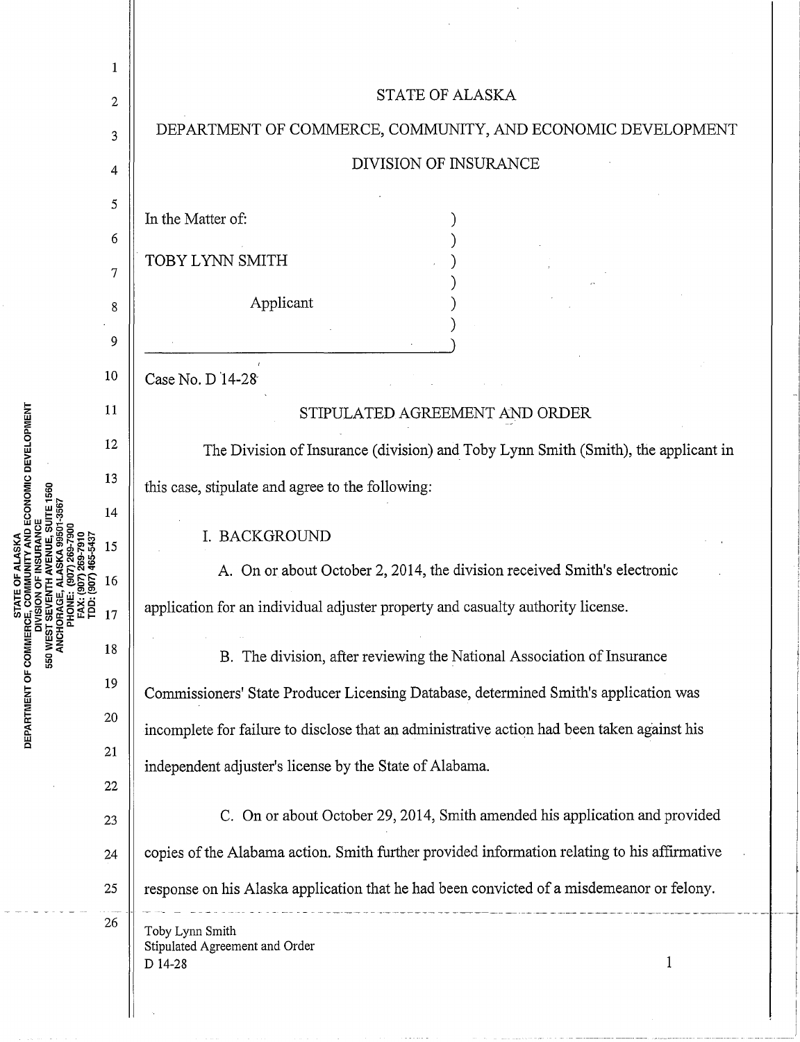

u.. 0

AND ECONOMIC DEVELOPMENT

ct: w c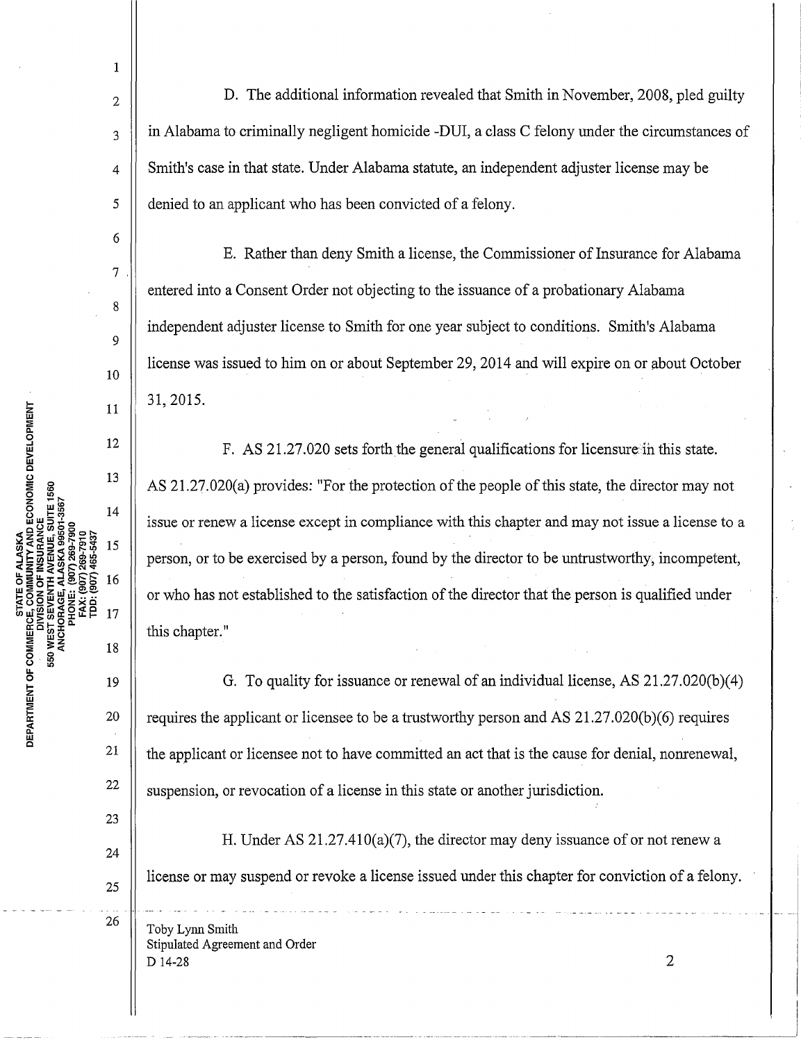1

2

3

4

5

6

7

8

9

10

11

12

13

 $14$ 

15

16

17

19

18

20

21

22

23

24

25

26

D. The additional information revealed that Smith in November, 2008, pled guilty in Alabama to criminally negligent homicide -DUI, a class C felony under the circumstances of Smith's case in that state. Under Alabama statute, an independent adjuster license may be denied to an applicant who has been convicted of a felony.

E. Rather than deny Smith a license, the Commissioner of Insurance for Alabama entered into a Consent Order not objecting to the issuance of a probationary Alabama independent adjuster license to Smith for one year subject to conditions. Smith's Alabama license was issued to him on or about September 29, 2014 and will expire on or about October 31, 2015.

F. AS 21.27.020 sets forth the general qualifications for licensure ih this state. AS 21.27.020(a) provides: "For the protection of the people of this state, the director may not issue or renew a license except in compliance with this chapter and may not issue a license to a person, or to be exercised by a person, found by the director to be untrustworthy, incompetent, or who has not established to the satisfaction of the director that the person is qualified under this chapter."

G. To quality for issuance or renewal of an individual license, AS 21.27.020(b)(4) requires the applicant or licensee to be a trustworthy person and AS 21.27.020(b)(6) requires the applicant or licensee not to have committed an act that is the cause for denial, nonrenewal, suspension, or revocation of a license in this state or another jurisdiction.

H. Under AS 21.27.410(a)(7), the director may deny issuance of or not renew a license or may suspend or revoke a license issued under this chapter for conviction of a felony.

Toby Lynn Smith Stipulated Agreement and Order  $D$  14-28 2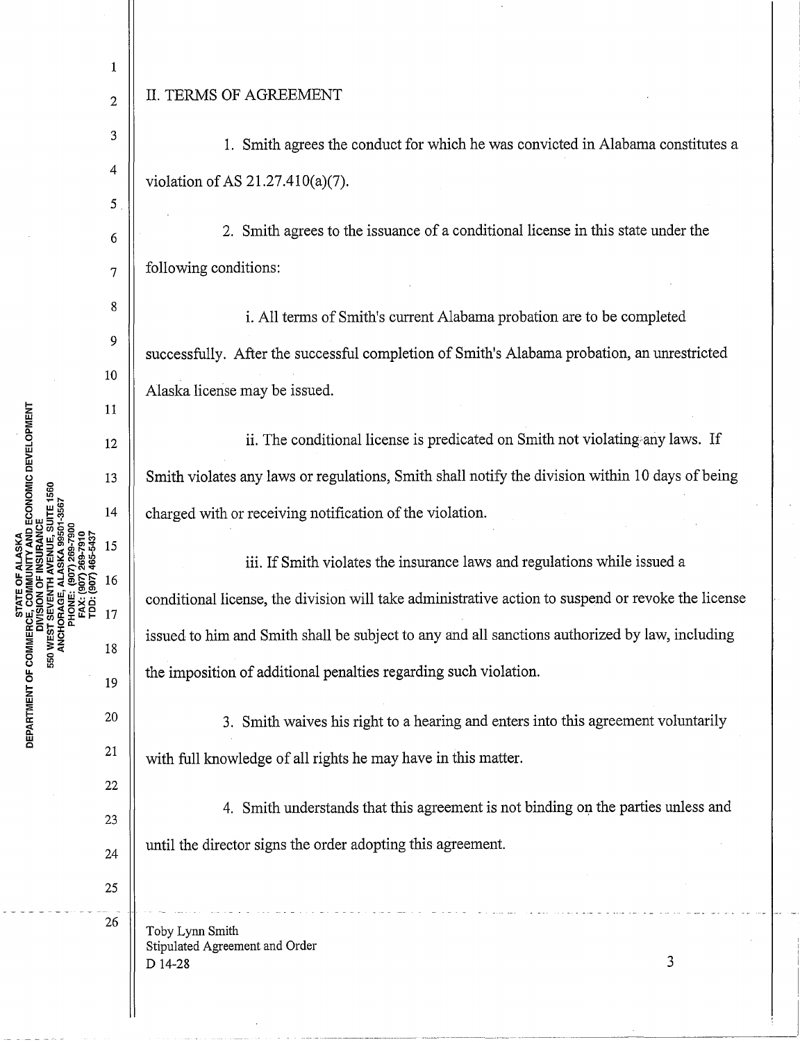## $_2$  || II. TERMS OF AGREEMENT

1

4

5

8

9

10

11

12

13

 $14$ 

15

16

17

18

19

20

21

 $\begin{array}{c|c|c|c|c} 3 & 1 & 1 & 1 \\ \hline \end{array}$  Smith agrees the conduct for which he was convicted in Alabama constitutes a violation of AS 21.27.410(a)(7).

 $\begin{array}{c|c|c|c} \hline 6 & 2. \end{array}$  Smith agrees to the issuance of a conditional license in this state under the  $\overline{7}$  | following conditions:

i. All terms of Smith's current Alabama probation are to be completed successfully. After the successful completion of Smith's Alabama probation, an unrestricted Alaska license may be issued.

ii. The conditional license is predicated on Smith not violating any laws. If Smith violates any laws or regulations, Smith shall notify the division within 10 days of being charged with or receiving notification of the violation.

iii. If Smith violates the insurance laws and regulations while issued a conditional license, the division will take administrative action to suspend or revoke the license issued to him and Smith shall be subject to any and all sanctions authorized by law, including the imposition of additional penalties regarding such violation.

3. Smith waives his right to a hearing and enters into this agreement voluntarily with full knowledge of all rights he may have in this matter.

4. Smith understands that this agreement is not binding on the parties unless and until the director signs the order adopting this agreement.

Toby Lynn Smith Stipulated Agreement and Order  $D$  14-28  $3$ 

**TY AND ECONOMIC DEVELOPMENT** DEPARTMENT OF COMMERCI 50 WEST

22

23

24

25

26